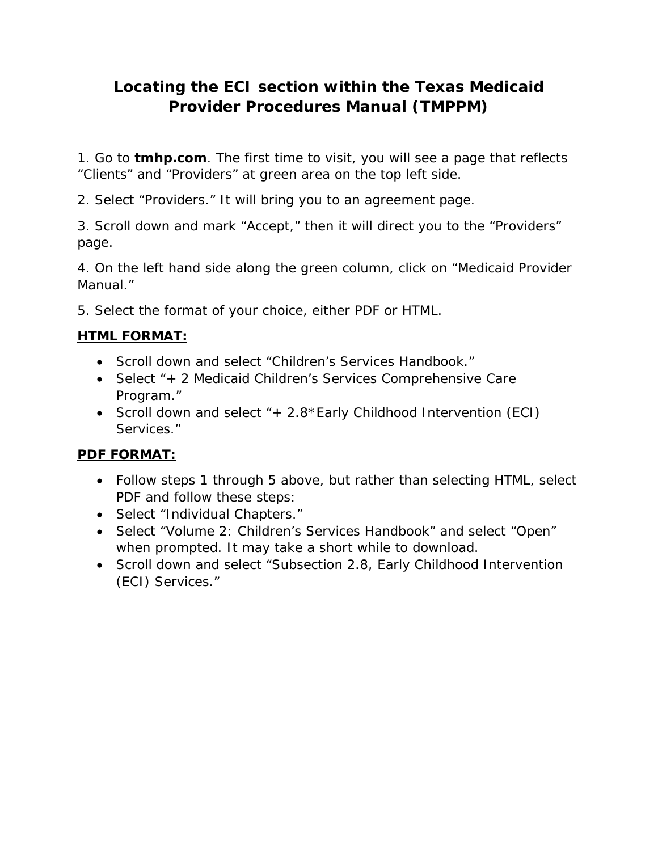# **Locating the ECI section within the Texas Medicaid Provider Procedures Manual (TMPPM)**

1. Go to **tmhp.com**. The first time to visit, you will see a page that reflects "Clients" and "Providers" at green area on the top left side.

2. Select "Providers." It will bring you to an agreement page.

3. Scroll down and mark "Accept," then it will direct you to the "Providers" page.

4. On the left hand side along the green column, click on "Medicaid Provider Manual."

5. Select the format of your choice, either PDF or HTML.

# **HTML FORMAT:**

- Scroll down and select "Children's Services Handbook."
- Select "+ 2 Medicaid Children's Services Comprehensive Care Program."
- Scroll down and select "+ 2.8\*Early Childhood Intervention (ECI) Services."

# **PDF FORMAT:**

- Follow steps 1 through 5 above, but rather than selecting HTML, select PDF and follow these steps:
- Select "Individual Chapters."
- Select "Volume 2: Children's Services Handbook" and select "Open" when prompted. It may take a short while to download.
- Scroll down and select "Subsection 2.8, Early Childhood Intervention (ECI) Services."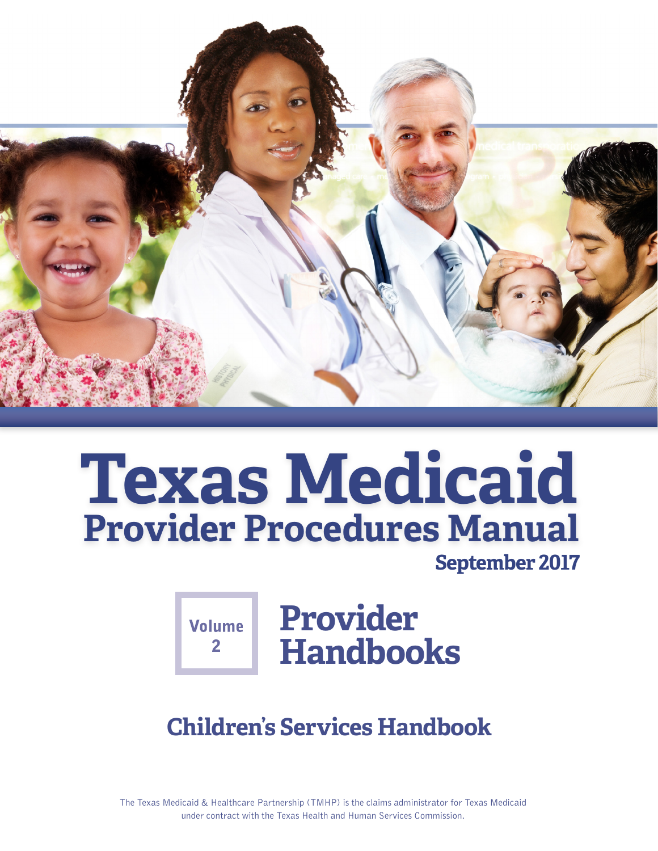

# **Texas Medicaid Provider Procedures Manual**

**September 2017** 

**Volume**  $\mathbf{P}$ 

# **Provider Handbooks**

# **Children's Services Handbook**

The Texas Medicaid & Healthcare Partnership (TMHP) is the claims administrator for Texas Medicaid under contract with the Texas Health and Human Services Commission.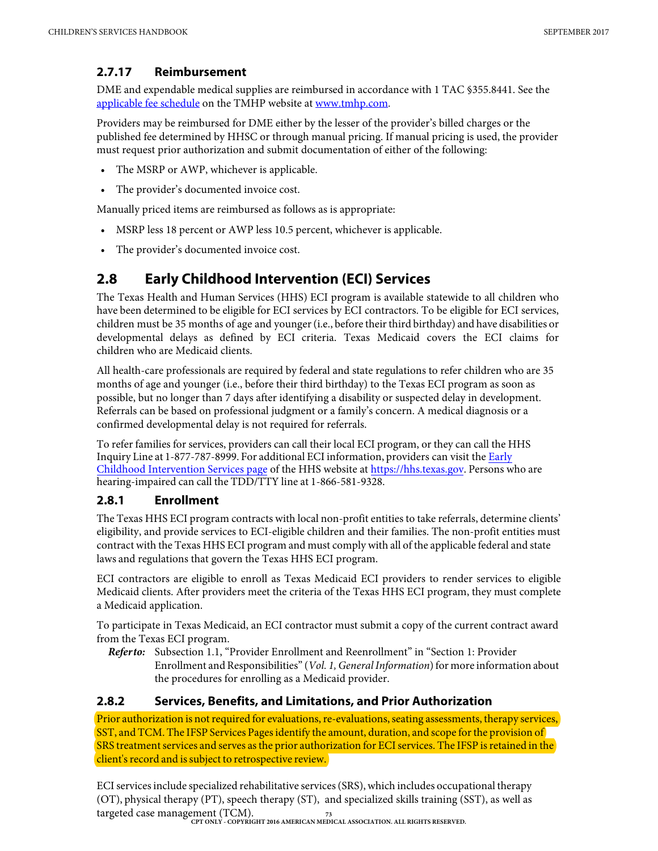## **2.7.17 Reimbursement**

DME and expendable medical supplies are reimbursed in accordance with 1 TAC §355.8441. See the [applicable fee schedule](http://public.tmhp.com/FeeSchedules/Default.aspx) on the TMHP website at [www.tmhp.com](http://www.tmhp.com).

Providers may be reimbursed for DME either by the lesser of the provider's billed charges or the published fee determined by HHSC or through manual pricing. If manual pricing is used, the provider must request prior authorization and submit documentation of either of the following:

- The MSRP or AWP, whichever is applicable.
- The provider's documented invoice cost.

Manually priced items are reimbursed as follows as is appropriate:

- MSRP less 18 percent or AWP less 10.5 percent, whichever is applicable.
- The provider's documented invoice cost.

# **2.8 Early Childhood Intervention (ECI) Services**

The Texas Health and Human Services (HHS) ECI program is available statewide to all children who have been determined to be eligible for ECI services by ECI contractors. To be eligible for ECI services, children must be 35 months of age and younger (i.e., before their third birthday) and have disabilities or developmental delays as defined by ECI criteria. Texas Medicaid covers the ECI claims for children who are Medicaid clients.

All health-care professionals are required by federal and state regulations to refer children who are 35 months of age and younger (i.e., before their third birthday) to the Texas ECI program as soon as possible, but no longer than 7 days after identifying a disability or suspected delay in development. Referrals can be based on professional judgment or a family's concern. A medical diagnosis or a confirmed developmental delay is not required for referrals.

To refer families for services, providers can call their local ECI program, or they can call the HHS Inquiry Line [at 1-877-787-8999. For additional ECI information,](https://hhs.texas.gov/services/disability/early-childhood-intervention-services) providers can visit the Early Childhood Intervention Services page of the HHS website at [https://hhs.texas.gov.](https://hhs.texas.gov/) Persons who are hearing-impaired can call the TDD/TTY line at 1-866-581-9328.

# **2.8.1 Enrollment**

The Texas HHS ECI program contracts with local non-profit entities to take referrals, determine clients' eligibility, and provide services to ECI-eligible children and their families. The non-profit entities must contract with the Texas HHS ECI program and must comply with all of the applicable federal and state laws and regulations that govern the Texas HHS ECI program.

ECI contractors are eligible to enroll as Texas Medicaid ECI providers to render services to eligible Medicaid clients. After providers meet the criteria of the Texas HHS ECI program, they must complete a Medicaid application.

To participate in Texas Medicaid, an ECI contractor must submit a copy of the current contract award from the Texas ECI program.

*Refer to:* Subsection 1.1, "Provider Enrollment and Reenrollment" in "Section 1: Provider Enrollment and Responsibilities" (*Vol. 1,General Information*) for more information about the procedures for enrolling as a Medicaid provider.

#### **2.8.2 Services, Benefits, and Limitations, and Prior Authorization**

Prior authorization is not required for evaluations, re-evaluations, seating assessments, therapy services, SST, and TCM. The IFSP Services Pages identify the amount, duration, and scope for the provision of SRS treatment services and serves as the prior authorization for ECI services. The IFSP is retained in the client's record and is subject to retrospective review.

**73 CPT ONLY - COPYRIGHT 2016 AMERICAN MEDICAL ASSOCIATION. ALL RIGHTS RESERVED.** ECI services include specialized rehabilitative services (SRS), which includes occupational therapy (OT), physical therapy (PT), speech therapy (ST), and specialized skills training (SST), as well as targeted case management (TCM).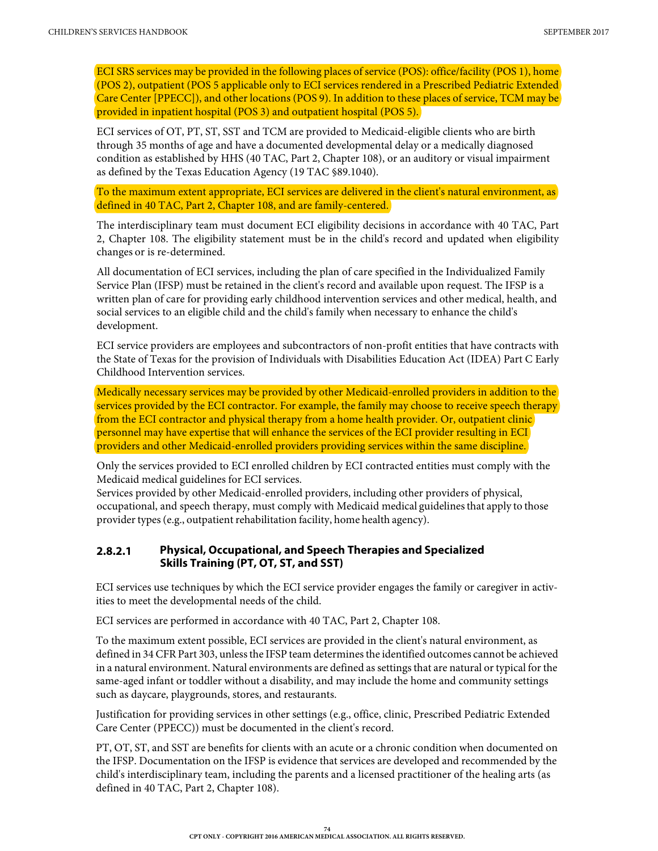ECI SRS services may be provided in the following places of service (POS): office/facility (POS 1), home (POS 2), outpatient (POS 5 applicable only to ECI services rendered in a Prescribed Pediatric Extended Care Center [PPECC]), and other locations (POS 9). In addition to these places of service, TCM may be provided in inpatient hospital (POS 3) and outpatient hospital (POS 5).

ECI services of OT, PT, ST, SST and TCM are provided to Medicaid-eligible clients who are birth through 35 months of age and have a documented developmental delay or a medically diagnosed condition as established by HHS (40 TAC, Part 2, Chapter 108), or an auditory or visual impairment as defined by the Texas Education Agency (19 TAC §89.1040).

To the maximum extent appropriate, ECI services are delivered in the client's natural environment, as defined in 40 TAC, Part 2, Chapter 108, and are family-centered.

The interdisciplinary team must document ECI eligibility decisions in accordance with 40 TAC, Part 2, Chapter 108. The eligibility statement must be in the child's record and updated when eligibility changes or is re-determined.

All documentation of ECI services, including the plan of care specified in the Individualized Family Service Plan (IFSP) must be retained in the client's record and available upon request. The IFSP is a written plan of care for providing early childhood intervention services and other medical, health, and social services to an eligible child and the child's family when necessary to enhance the child's development.

ECI service providers are employees and subcontractors of non-profit entities that have contracts with the State of Texas for the provision of Individuals with Disabilities Education Act (IDEA) Part C Early Childhood Intervention services.

Medically necessary services may be provided by other Medicaid-enrolled providers in addition to the services provided by the ECI contractor. For example, the family may choose to receive speech therapy from the ECI contractor and physical therapy from a home health provider. Or, outpatient clinic personnel may have expertise that will enhance the services of the ECI provider resulting in ECI providers and other Medicaid-enrolled providers providing services within the same discipline.

Only the services provided to ECI enrolled children by ECI contracted entities must comply with the Medicaid medical guidelines for ECI services.

Services provided by other Medicaid-enrolled providers, including other providers of physical, occupational, and speech therapy, must comply with Medicaid medical guidelines that apply to those provider types (e.g., outpatient rehabilitation facility, home health agency).

#### **2.8.2.1 Physical, Occupational, and Speech Therapies and Specialized Skills Training (PT, OT, ST, and SST)**

ECI services use techniques by which the ECI service provider engages the family or caregiver in activities to meet the developmental needs of the child.

ECI services are performed in accordance with 40 TAC, Part 2, Chapter 108.

To the maximum extent possible, ECI services are provided in the client's natural environment, as defined in 34 CFR Part 303, unless the IFSP team determines the identified outcomes cannot be achieved in a natural environment. Natural environments are defined as settings that are natural or typical for the same-aged infant or toddler without a disability, and may include the home and community settings such as daycare, playgrounds, stores, and restaurants.

Justification for providing services in other settings (e.g., office, clinic, Prescribed Pediatric Extended Care Center (PPECC)) must be documented in the client's record.

PT, OT, ST, and SST are benefits for clients with an acute or a chronic condition when documented on the IFSP. Documentation on the IFSP is evidence that services are developed and recommended by the child's interdisciplinary team, including the parents and a licensed practitioner of the healing arts (as defined in 40 TAC, Part 2, Chapter 108).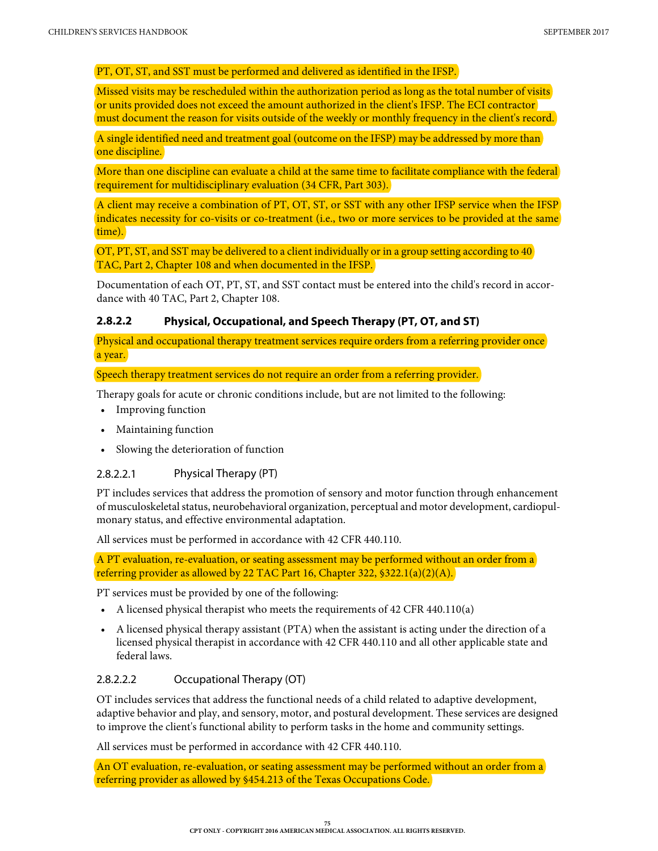#### PT, OT, ST, and SST must be performed and delivered as identified in the IFSP.

Missed visits may be rescheduled within the authorization period as long as the total number of visits or units provided does not exceed the amount authorized in the client's IFSP. The ECI contractor must document the reason for visits outside of the weekly or monthly frequency in the client's record.

A single identified need and treatment goal (outcome on the IFSP) may be addressed by more than one discipline.

More than one discipline can evaluate a child at the same time to facilitate compliance with the federal requirement for multidisciplinary evaluation (34 CFR, Part 303).

A client may receive a combination of PT, OT, ST, or SST with any other IFSP service when the IFSP indicates necessity for co-visits or co-treatment (i.e., two or more services to be provided at the same time).

OT, PT, ST, and SST may be delivered to a client individually or in a group setting according to 40 TAC, Part 2, Chapter 108 and when documented in the IFSP.

Documentation of each OT, PT, ST, and SST contact must be entered into the child's record in accordance with 40 TAC, Part 2, Chapter 108.

#### **2.8.2.2 Physical, Occupational, and Speech Therapy (PT, OT, and ST)**

Physical and occupational therapy treatment services require orders from a referring provider once a year.

Speech therapy treatment services do not require an order from a referring provider.

Therapy goals for acute or chronic conditions include, but are not limited to the following:

- Improving function
- Maintaining function
- Slowing the deterioration of function

#### 2.8.2.2.1 Physical Therapy (PT)

PT includes services that address the promotion of sensory and motor function through enhancement of musculoskeletal status, neurobehavioral organization, perceptual and motor development, cardiopulmonary status, and effective environmental adaptation.

All services must be performed in accordance with 42 CFR 440.110.

A PT evaluation, re-evaluation, or seating assessment may be performed without an order from a referring provider as allowed by 22 TAC Part 16, Chapter 322, §322.1(a)(2)(A).

PT services must be provided by one of the following:

- A licensed physical therapist who meets the requirements of 42 CFR 440.110(a)
- A licensed physical therapy assistant (PTA) when the assistant is acting under the direction of a licensed physical therapist in accordance with 42 CFR 440.110 and all other applicable state and federal laws.

#### 2.8.2.2.2 Occupational Therapy (OT)

OT includes services that address the functional needs of a child related to adaptive development, adaptive behavior and play, and sensory, motor, and postural development. These services are designed to improve the client's functional ability to perform tasks in the home and community settings.

All services must be performed in accordance with 42 CFR 440.110.

An OT evaluation, re-evaluation, or seating assessment may be performed without an order from a referring provider as allowed by §454.213 of the Texas Occupations Code.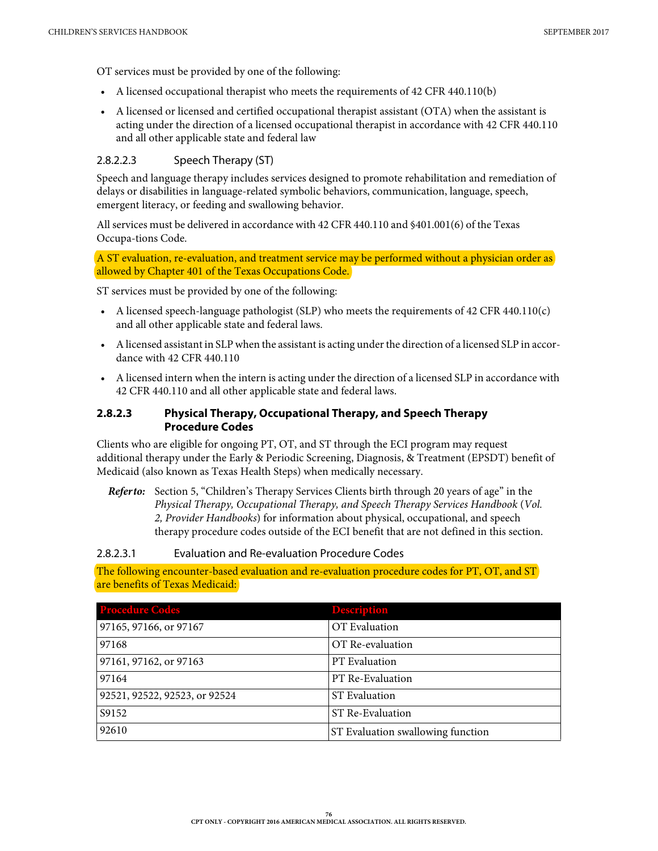OT services must be provided by one of the following:

- A licensed occupational therapist who meets the requirements of 42 CFR 440.110(b)
- A licensed or licensed and certified occupational therapist assistant (OTA) when the assistant is acting under the direction of a licensed occupational therapist in accordance with 42 CFR 440.110 and all other applicable state and federal law

#### 2.8.2.2.3 Speech Therapy (ST)

Speech and language therapy includes services designed to promote rehabilitation and remediation of delays or disabilities in language-related symbolic behaviors, communication, language, speech, emergent literacy, or feeding and swallowing behavior.

All services must be delivered in accordance with 42 CFR 440.110 and §401.001(6) of the Texas Occupa-tions Code.

A ST evaluation, re-evaluation, and treatment service may be performed without a physician order as allowed by Chapter 401 of the Texas Occupations Code.

ST services must be provided by one of the following:

- A licensed speech-language pathologist (SLP) who meets the requirements of 42 CFR 440.110(c) and all other applicable state and federal laws.
- A licensed assistant in SLP when the assistant is acting under the direction of a licensed SLP in accordance with 42 CFR 440.110
- A licensed intern when the intern is acting under the direction of a licensed SLP in accordance with 42 CFR 440.110 and all other applicable state and federal laws.

#### **2.8.2.3 Physical Therapy, Occupational Therapy, and Speech Therapy Procedure Codes**

Clients who are eligible for ongoing PT, OT, and ST through the ECI program may request additional therapy under the Early & Periodic Screening, Diagnosis, & Treatment (EPSDT) benefit of Medicaid (also known as Texas Health Steps) when medically necessary.

*Refer to:* Section 5, "Children's Therapy Services Clients birth through 20 years of age" in the *Physical Therapy, Occupational Therapy, and Speech Therapy Services Handbook* (*Vol. 2, Provider Handbooks*) for information about physical, occupational, and speech therapy procedure codes outside of the ECI benefit that are not defined in this section.

#### 2.8.2.3.1 Evaluation and Re-evaluation Procedure Codes

The following encounter-based evaluation and re-evaluation procedure codes for PT, OT, and ST are benefits of Texas Medicaid:

| <b>Procedure Codes</b>        | <b>Description</b>                |
|-------------------------------|-----------------------------------|
| 97165, 97166, or 97167        | OT Evaluation                     |
| 97168                         | OT Re-evaluation                  |
| 97161, 97162, or 97163        | PT Evaluation                     |
| 97164                         | PT Re-Evaluation                  |
| 92521, 92522, 92523, or 92524 | <b>ST</b> Evaluation              |
| S9152                         | ST Re-Evaluation                  |
| 92610                         | ST Evaluation swallowing function |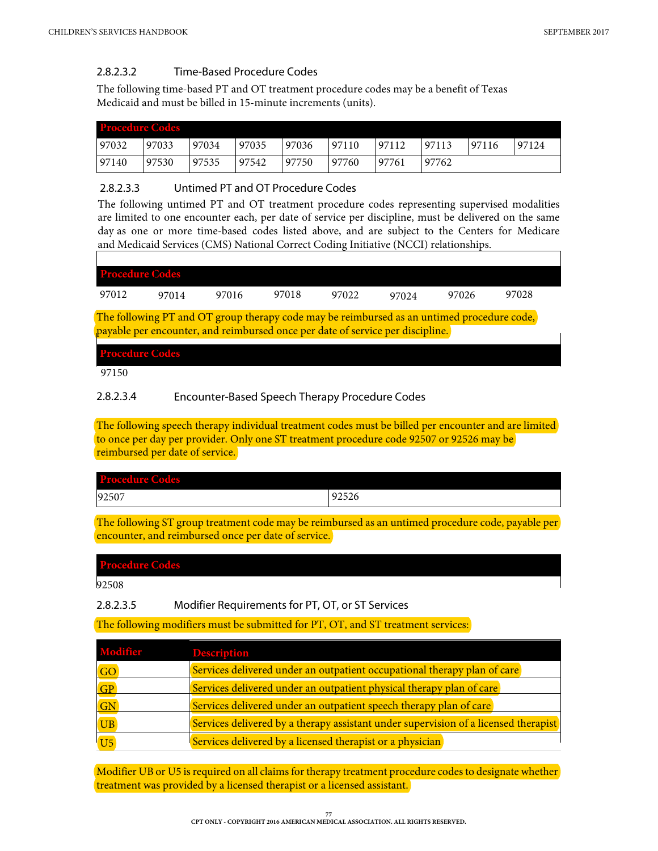#### 2.8.2.3.2 Time-Based Procedure Codes

The following time-based PT and OT treatment procedure codes may be a benefit of Texas Medicaid and must be billed in 15-minute increments (units).

| <b>Procedure Codes</b> |       |       |       |       |       |       |       |       |       |
|------------------------|-------|-------|-------|-------|-------|-------|-------|-------|-------|
| 97032                  | 97033 | 97034 | 97035 | 97036 | 97110 | 97112 | 97113 | 97116 | 97124 |
| 97140                  | 97530 | 97535 | 97542 | 97750 | 97760 | 97761 | 97762 |       |       |

#### 2.8.2.3.3 Untimed PT and OT Procedure Codes

The following untimed PT and OT treatment procedure codes representing supervised modalities are limited to one encounter each, per date of service per discipline, must be delivered on the same day as one or more time-based codes listed above, and are subject to the Centers for Medicare and Medicaid Services (CMS) National Correct Coding Initiative (NCCI) relationships.

| <b>Procedure Codes</b>                                                                                                                                                                                                                                                                                                                                                                         |       |       |       |       |       |       |       |
|------------------------------------------------------------------------------------------------------------------------------------------------------------------------------------------------------------------------------------------------------------------------------------------------------------------------------------------------------------------------------------------------|-------|-------|-------|-------|-------|-------|-------|
| 97012                                                                                                                                                                                                                                                                                                                                                                                          | 97014 | 97016 | 97018 | 97022 | 97024 | 97026 | 97028 |
| The following PT and OT group therapy code may be reimbursed as an untimed procedure code,<br>$\mathbf{1}$ and $\mathbf{1}$ and $\mathbf{1}$ and $\mathbf{1}$ and $\mathbf{1}$ and $\mathbf{1}$ and $\mathbf{1}$ and $\mathbf{1}$ and $\mathbf{1}$ and $\mathbf{1}$ and $\mathbf{1}$ and $\mathbf{1}$ and $\mathbf{1}$ and $\mathbf{1}$ and $\mathbf{1}$ and $\mathbf{1}$ and $\mathbf{1}$ and |       |       |       |       |       |       |       |

payable per encounter, and reimbursed once per date of service per discipline. **Procedure Codes**

97150

#### 2.8.2.3.4 Encounter-Based Speech Therapy Procedure Codes

The following speech therapy individual treatment codes must be billed per encounter and are limited to once per day per provider. Only one ST treatment procedure code 92507 or 92526 may be reimbursed per date of service.

| <b>Procedure Codes</b> |       |
|------------------------|-------|
| 92507                  | 92526 |
|                        |       |

The following ST group treatment code may be reimbursed as an untimed procedure code, payable per encounter, and reimbursed once per date of service.

#### **Procedure Codes**

92508

2.8.2.3.5 Modifier Requirements for PT, OT, or ST Services

The following modifiers must be submitted for PT, OT, and ST treatment services:

| <b>Modifier</b> | <b>Description</b>                                                                  |
|-----------------|-------------------------------------------------------------------------------------|
| <b>GO</b>       | Services delivered under an outpatient occupational therapy plan of care            |
| GP              | Services delivered under an outpatient physical therapy plan of care                |
| GN              | Services delivered under an outpatient speech therapy plan of care                  |
| <b>UB</b>       | Services delivered by a therapy assistant under supervision of a licensed therapist |
| U <sub>5</sub>  | Services delivered by a licensed therapist or a physician                           |

Modifier UB or U5 is required on all claims for therapy treatment procedure codes to designate whether treatment was provided by a licensed therapist or a licensed assistant.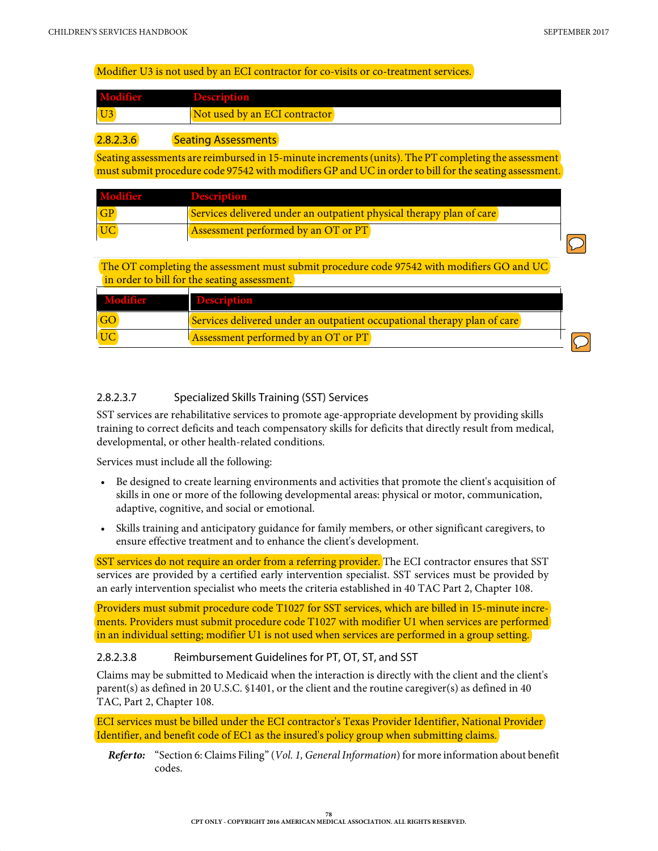#### Modifier U3 is not used by an ECI contractor for co-visits or co-treatment services.

| <b>Modifier</b> | <b>Encretional</b>            |  |
|-----------------|-------------------------------|--|
| $\overline{U}3$ | Not used by an ECI contractor |  |
|                 |                               |  |

#### **2.8.2.3.6** Seating Assessments

Seating assessments are reimbursed in 15-minute increments (units). The PT completing the assessment must submit procedure code 97542 with modifiers GP and UC in order to bill for the seating assessment.

| Modifier | <b>Description</b>                                                   |  |
|----------|----------------------------------------------------------------------|--|
|          | Services delivered under an outpatient physical therapy plan of care |  |
|          | Assessment performed by an OT or PT                                  |  |

The OT completing the assessment must submit procedure code 97542 with modifiers GO and UC in order to bill for the seating assessment.

| Modifier | <b>Description</b>                                                       |  |
|----------|--------------------------------------------------------------------------|--|
|          | Services delivered under an outpatient occupational therapy plan of care |  |
|          | <b>Assessment performed by an OT or PT</b>                               |  |

#### 2.8.2.3.7 Specialized Skills Training (SST) Services

SST services are rehabilitative services to promote age-appropriate development by providing skills training to correct deficits and teach compensatory skills for deficits that directly result from medical, developmental, or other health-related conditions.

Services must include all the following:

- Be designed to create learning environments and activities that promote the client's acquisition of skills in one or more of the following developmental areas: physical or motor, communication, adaptive, cognitive, and social or emotional.
- Skills training and anticipatory guidance for family members, or other significant caregivers, to ensure effective treatment and to enhance the client's development.

SST services do not require an order from a referring provider. The ECI contractor ensures that SST services are provided by a certified early intervention specialist. SST services must be provided by an early intervention specialist who meets the criteria established in 40 TAC Part 2, Chapter 108.

Providers must submit procedure code T1027 for SST services, which are billed in 15-minute increments. Providers must submit procedure code T1027 with modifier U1 when services are performed in an individual setting; modifier U1 is not used when services are performed in a group setting.

#### 2.8.2.3.8 Reimbursement Guidelines for PT, OT, ST, and SST

Claims may be submitted to Medicaid when the interaction is directly with the client and the client's parent(s) as defined in 20 U.S.C. §1401, or the client and the routine caregiver(s) as defined in 40 TAC, Part 2, Chapter 108.

ECI services must be billed under the ECI contractor's Texas Provider Identifier, National Provider Identifier, and benefit code of EC1 as the insured's policy group when submitting claims.

*Refer to:* "Section 6: Claims Filing" (*Vol. 1, General Information*) for more information about benefit codes.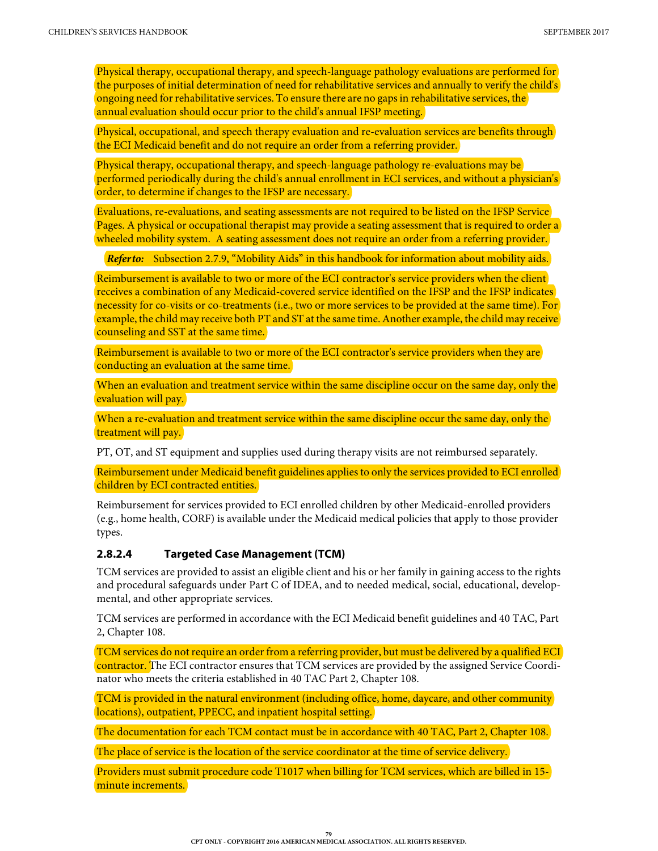Physical therapy, occupational therapy, and speech-language pathology evaluations are performed for the purposes of initial determination of need for rehabilitative services and annually to verify the child's ongoing need for rehabilitative services. To ensure there are no gaps in rehabilitative services, the annual evaluation should occur prior to the child's annual IFSP meeting.

Physical, occupational, and speech therapy evaluation and re-evaluation services are benefits through the ECI Medicaid benefit and do not require an order from a referring provider.

Physical therapy, occupational therapy, and speech-language pathology re-evaluations may be performed periodically during the child's annual enrollment in ECI services, and without a physician's order, to determine if changes to the IFSP are necessary.

Evaluations, re-evaluations, and seating assessments are not required to be listed on the IFSP Service Pages. A physical or occupational therapist may provide a seating assessment that is required to order a wheeled mobility system. A seating assessment does not require an order from a referring provider.

*Referto:* [Subsection 2.7.9, "Mobility Aids" in this](#page--1-0) handbook for information about mobility aids.

Reimbursement is available to two or more of the ECI contractor's service providers when the client receives a combination of any Medicaid-covered service identified on the IFSP and the IFSP indicates necessity for co-visits or co-treatments (i.e., two or more services to be provided at the same time). For example, the child may receive both PT and ST at the same time. Another example, the child may receive counseling and SST at the same time.

Reimbursement is available to two or more of the ECI contractor's service providers when they are conducting an evaluation at the same time.

When an evaluation and treatment service within the same discipline occur on the same day, only the evaluation will pay.

When a re-evaluation and treatment service within the same discipline occur the same day, only the treatment will pay.

PT, OT, and ST equipment and supplies used during therapy visits are not reimbursed separately.

Reimbursement under Medicaid benefit guidelines applies to only the services provided to ECI enrolled children by ECI contracted entities.

Reimbursement for services provided to ECI enrolled children by other Medicaid-enrolled providers (e.g., home health, CORF) is available under the Medicaid medical policies that apply to those provider types.

#### **2.8.2.4 Targeted Case Management (TCM)**

TCM services are provided to assist an eligible client and his or her family in gaining access to the rights and procedural safeguards under Part C of IDEA, and to needed medical, social, educational, developmental, and other appropriate services.

TCM services are performed in accordance with the ECI Medicaid benefit guidelines and 40 TAC, Part 2, Chapter 108.

TCM services do not require an order from a referring provider, but must be delivered by a qualified ECI contractor. The ECI contractor ensures that TCM services are provided by the assigned Service Coordinator who meets the criteria established in 40 TAC Part 2, Chapter 108.

TCM is provided in the natural environment (including office, home, daycare, and other community locations), outpatient, PPECC, and inpatient hospital setting.

The documentation for each TCM contact must be in accordance with 40 TAC, Part 2, Chapter 108.

The place of service is the location of the service coordinator at the time of service delivery.

Providers must submit procedure code T1017 when billing for TCM services, which are billed in 15 minute increments.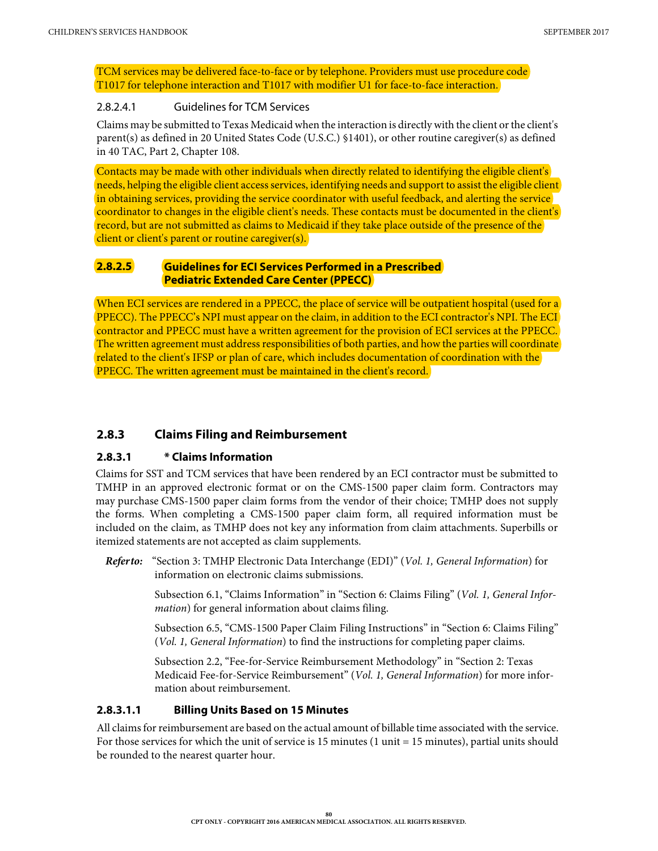TCM services may be delivered face-to-face or by telephone. Providers must use procedure code T1017 for telephone interaction and T1017 with modifier U1 for face-to-face interaction.

#### 2.8.2.4.1 Guidelines for TCM Services

Claims may be submitted to Texas Medicaid when the interaction is directlywith the client orthe client's parent(s) as defined in 20 United States Code (U.S.C.) §1401), or other routine caregiver(s) as defined in 40 TAC, Part 2, Chapter 108.

Contacts may be made with other individuals when directly related to identifying the eligible client's needs, helping the eligible client access services, identifying needs and support to assist the eligible client in obtaining services, providing the service coordinator with useful feedback, and alerting the service coordinator to changes in the eligible client's needs. These contacts must be documented in the client's record, but are not submitted as claims to Medicaid if they take place outside of the presence of the client or client's parent or routine caregiver(s).

#### **2.8.2.5 Guidelines for ECI Services Performed in a Prescribed Pediatric Extended Care Center (PPECC)**

When ECI services are rendered in a PPECC, the place of service will be outpatient hospital (used for a PPECC). The PPECC's NPI must appear on the claim, in addition to the ECI contractor's NPI. The ECI contractor and PPECC must have a written agreement for the provision of ECI services at the PPECC. The written agreement must address responsibilities of both parties, and how the parties will coordinate related to the client's IFSP or plan of care, which includes documentation of coordination with the PPECC. The written agreement must be maintained in the client's record.

# **2.8.3 Claims Filing and Reimbursement**

#### **2.8.3.1 \* Claims Information**

Claims for SST and TCM services that have been rendered by an ECI contractor must be submitted to TMHP in an approved electronic format or on the CMS-1500 paper claim form. Contractors may may purchase CMS-1500 paper claim forms from the vendor of their choice; TMHP does not supply the forms. When completing a CMS-1500 paper claim form, all required information must be included on the claim, as TMHP does not key any information from claim attachments. Superbills or itemized statements are not accepted as claim supplements.

*Refer to:* "Section 3: TMHP Electronic Data Interchange (EDI)" (*Vol. 1, General Information*) for information on electronic claims submissions.

> Subsection 6.1, "Claims Information" in "Section 6: Claims Filing" (*Vol. 1, General Information*) for general information about claims filing.

> Subsection 6.5, "CMS-1500 Paper Claim Filing Instructions" in "Section 6: Claims Filing" (*Vol. 1, General Information*) to find the instructions for completing paper claims.

Subsection 2.2, "Fee-for-Service Reimbursement Methodology" in "Section 2: Texas Medicaid Fee-for-Service Reimbursement" (*Vol. 1, General Information*) for more information about reimbursement.

#### **2.8.3.1.1 Billing Units Based on 15 Minutes**

All claims for reimbursement are based on the actual amount of billable time associated with the service. For those services for which the unit of service is 15 minutes (1 unit = 15 minutes), partial units should be rounded to the nearest quarter hour.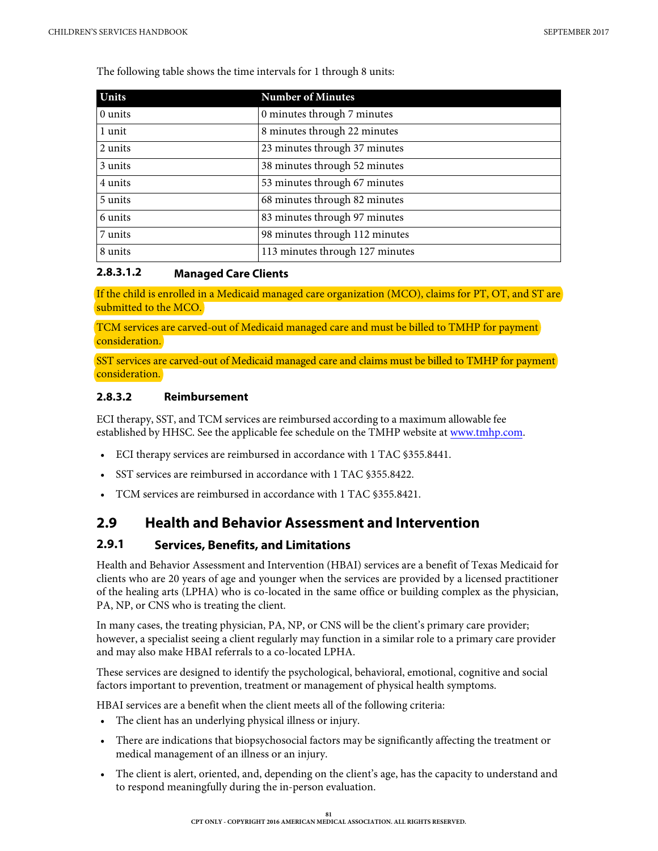The following table shows the time intervals for 1 through 8 units:

| Units   | <b>Number of Minutes</b>        |
|---------|---------------------------------|
| 0 units | 0 minutes through 7 minutes     |
| 1 unit  | 8 minutes through 22 minutes    |
| 2 units | 23 minutes through 37 minutes   |
| 3 units | 38 minutes through 52 minutes   |
| 4 units | 53 minutes through 67 minutes   |
| 5 units | 68 minutes through 82 minutes   |
| 6 units | 83 minutes through 97 minutes   |
| 7 units | 98 minutes through 112 minutes  |
| 8 units | 113 minutes through 127 minutes |

#### **2.8.3.1.2 Managed Care Clients**

If the child is enrolled in a Medicaid managed care organization (MCO), claims for PT, OT, and ST are submitted to the MCO.

TCM services are carved-out of Medicaid managed care and must be billed to TMHP for payment consideration.

SST services are carved-out of Medicaid managed care and claims must be billed to TMHP for payment consideration.

#### **2.8.3.2 Reimbursement**

ECI therapy, SST, and TCM services are reimbursed according to a maximum allowable fee established by HHSC. See the applicable fee schedule on the TMHP website at [www.tmhp.com.](http://www.tmhp.com)

- ECI therapy services are reimbursed in accordance with 1 TAC §355.8441.
- SST services are reimbursed in accordance with 1 TAC §355.8422.
- TCM services are reimbursed in accordance with 1 TAC §355.8421.

# **2.9 Health and Behavior Assessment and Intervention**

# **2.9.1 Services, Benefits, and Limitations**

Health and Behavior Assessment and Intervention (HBAI) services are a benefit of Texas Medicaid for clients who are 20 years of age and younger when the services are provided by a licensed practitioner of the healing arts (LPHA) who is co-located in the same office or building complex as the physician, PA, NP, or CNS who is treating the client.

In many cases, the treating physician, PA, NP, or CNS will be the client's primary care provider; however, a specialist seeing a client regularly may function in a similar role to a primary care provider and may also make HBAI referrals to a co-located LPHA.

These services are designed to identify the psychological, behavioral, emotional, cognitive and social factors important to prevention, treatment or management of physical health symptoms.

HBAI services are a benefit when the client meets all of the following criteria:

- The client has an underlying physical illness or injury.
- There are indications that biopsychosocial factors may be significantly affecting the treatment or medical management of an illness or an injury.
- The client is alert, oriented, and, depending on the client's age, has the capacity to understand and to respond meaningfully during the in-person evaluation.